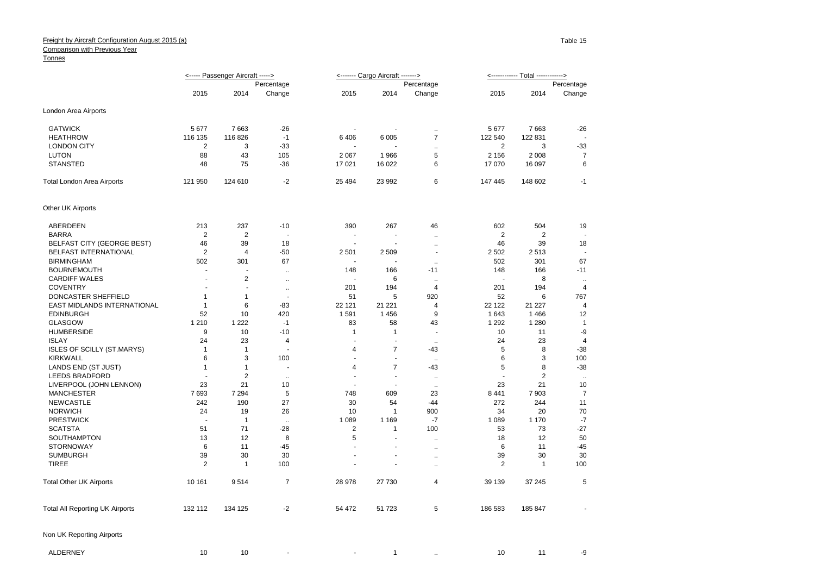## Freight by Aircraft Configuration August 2015 (a)

## **Comparison with Previous Year**

## Tonnes

|                                        | <----- Passenger Aircraft -----> |                |                          |                          | <------- Cargo Aircraft -------> |                      | <------------ Total ------------> |                |                  |
|----------------------------------------|----------------------------------|----------------|--------------------------|--------------------------|----------------------------------|----------------------|-----------------------------------|----------------|------------------|
|                                        | Percentage                       |                |                          |                          |                                  | Percentage           |                                   |                | Percentage       |
|                                        | 2015                             | 2014           | Change                   | 2015                     | 2014                             | Change               | 2015                              | 2014           | Change           |
| London Area Airports                   |                                  |                |                          |                          |                                  |                      |                                   |                |                  |
| <b>GATWICK</b>                         | 5 6 7 7                          | 7663           | $-26$                    |                          | $\overline{a}$                   | $\mathbf{r}$ .       | 5677                              | 7663           | $-26$            |
| <b>HEATHROW</b>                        | 116 135                          | 116 826        | $-1$                     | 6406                     | 6 0 0 5                          | $\overline{7}$       | 122 540                           | 122 831        | ÷,               |
| <b>LONDON CITY</b>                     | $\overline{2}$                   | 3              | -33                      |                          |                                  | $\ddot{\phantom{a}}$ | $\overline{2}$                    | 3              | $-33$            |
| <b>LUTON</b>                           | 88                               | 43             | 105                      | 2 0 6 7                  | 1966                             | 5                    | 2 1 5 6                           | 2 0 0 8        | 7                |
| <b>STANSTED</b>                        | 48                               | 75             | $-36$                    | 17 021                   | 16 022                           | 6                    | 17 070                            | 16 097         | 6                |
| <b>Total London Area Airports</b>      | 121 950                          | 124 610        | $-2$                     | 25 4 94                  | 23 992                           | 6                    | 147 445                           | 148 602        | -1               |
| Other UK Airports                      |                                  |                |                          |                          |                                  |                      |                                   |                |                  |
| ABERDEEN                               | 213                              | 237            | $-10$                    | 390                      | 267                              | 46                   | 602                               | 504            | 19               |
| <b>BARRA</b>                           | $\overline{2}$                   | $\sqrt{2}$     | $\blacksquare$           | $\sim$                   | $\blacksquare$                   | $\cdot$ .            | $\overline{\mathbf{c}}$           | $\overline{c}$ |                  |
| <b>BELFAST CITY (GEORGE BEST)</b>      | 46                               | 39             | 18                       | ÷.                       | ÷.                               | $\ldots$             | 46                                | 39             | 18               |
| BELFAST INTERNATIONAL                  | $\overline{2}$                   | $\overline{4}$ | $-50$                    | 2 5 0 1                  | 2 5 0 9                          | $\blacksquare$       | 2 5 0 2                           | 2513           | ÷,               |
| <b>BIRMINGHAM</b>                      | 502                              | 301            | 67                       |                          | ÷                                | $\cdot$ .            | 502                               | 301            | 67               |
| <b>BOURNEMOUTH</b>                     | $\sim$                           |                | $\ddot{\phantom{a}}$     | 148                      | 166                              | $-11$                | 148                               | 166            | $-11$            |
| <b>CARDIFF WALES</b>                   | $\overline{a}$                   | $\sqrt{2}$     | $\ldots$                 |                          | 6                                | $\ddotsc$            |                                   | 8              | $\sim$           |
| <b>COVENTRY</b>                        | $\overline{\phantom{a}}$         | ÷,             | $\ddotsc$                | 201                      | 194                              | 4                    | 201                               | 194            | 4                |
| DONCASTER SHEFFIELD                    | $\mathbf{1}$                     | 1              | $\overline{\phantom{a}}$ | 51                       | 5                                | 920                  | 52                                | 6              | 767              |
| EAST MIDLANDS INTERNATIONAL            | $\mathbf{1}$                     | 6              | $-83$                    | 22 121                   | 21 221                           | $\overline{4}$       | 22 122                            | 21 227         | 4                |
| <b>EDINBURGH</b>                       | 52                               | 10             | 420                      | 1591                     | 1456                             | 9                    | 1643                              | 1466           | 12               |
| <b>GLASGOW</b>                         | 1 2 1 0                          | 1 2 2 2        | $-1$                     | 83                       | 58                               | 43                   | 1 2 9 2                           | 1 2 8 0        | $\mathbf{1}$     |
| <b>HUMBERSIDE</b>                      | 9                                | 10             | $-10$                    | $\mathbf{1}$             | 1                                | ä,                   | 10                                | 11             | -9               |
| <b>ISLAY</b>                           | 24                               | 23             | $\overline{4}$           | $\sim$                   | $\sim$                           | $\ddotsc$            | 24                                | 23             | $\overline{4}$   |
| <b>ISLES OF SCILLY (ST.MARYS)</b>      | $\mathbf{1}$                     | $\mathbf{1}$   | ÷                        | $\overline{4}$           | $\overline{7}$                   | $-43$                | 5                                 | 8              | $-38$            |
| <b>KIRKWALL</b>                        | 6                                | 3              | 100                      | ÷,                       | ÷,                               | $\ddotsc$            | 6                                 | 3              | 100              |
| LANDS END (ST JUST)                    | $\mathbf{1}$                     | $\mathbf{1}$   | ä,                       | 4                        | $\overline{7}$                   | -43                  | 5                                 | 8              | $-38$            |
| <b>LEEDS BRADFORD</b>                  |                                  | $\overline{2}$ | $\ddot{\phantom{a}}$     | ä,                       | ÷,                               | $\ddotsc$            |                                   | 2              | $\bullet\bullet$ |
| LIVERPOOL (JOHN LENNON)                | 23                               | 21             | 10                       |                          | $\ddot{\phantom{1}}$             | $\ddotsc$            | 23                                | 21             | 10               |
| <b>MANCHESTER</b>                      | 7693                             | 7 2 9 4        | 5                        | 748                      | 609                              | 23                   | 8 4 4 1                           | 7903           | $\overline{7}$   |
| <b>NEWCASTLE</b>                       | 242                              | 190            | 27                       | 30                       | 54                               | -44                  | 272                               | 244            | 11               |
| <b>NORWICH</b>                         | 24                               | 19             | 26                       | 10                       | $\mathbf{1}$                     | 900                  | 34                                | 20             | 70               |
| <b>PRESTWICK</b>                       | ÷,                               | $\overline{1}$ | $\ddotsc$                | 1 0 8 9                  | 1 1 6 9                          | $-7$                 | 1 0 8 9                           | 1 1 7 0        | $-7$             |
| <b>SCATSTA</b>                         | 51                               | 71             | $-28$                    | $\overline{2}$           | $\mathbf{1}$                     | 100                  | 53                                | 73             | $-27$            |
| <b>SOUTHAMPTON</b>                     | 13                               | 12             | 8                        | 5                        |                                  | $\bar{\mathbf{r}}$   | 18                                | 12             | 50               |
| <b>STORNOWAY</b>                       | 6                                | 11             | $-45$                    | ÷.                       | $\blacksquare$                   | $\ldots$             | 6                                 | 11             | $-45$            |
| <b>SUMBURGH</b>                        | 39                               | 30             | 30                       | $\overline{\phantom{a}}$ | $\blacksquare$                   | $\ddotsc$            | 39                                | 30             | 30               |
| <b>TIREE</b>                           | $\overline{2}$                   | $\overline{1}$ | 100                      |                          |                                  | $\ddot{\phantom{a}}$ | 2                                 | $\mathbf{1}$   | 100              |
| <b>Total Other UK Airports</b>         | 10 161                           | 9514           | $\overline{7}$           | 28 978                   | 27 730                           | 4                    | 39 139                            | 37 245         | 5                |
| <b>Total All Reporting UK Airports</b> | 132 112                          | 134 125        | $-2$                     | 54 472                   | 51 723                           | 5                    | 186 583                           | 185 847        |                  |
| Non UK Reporting Airports              |                                  |                |                          |                          |                                  |                      |                                   |                |                  |

ALDERNEY 10 10 - 10 - 1 .. 10 11 - 9